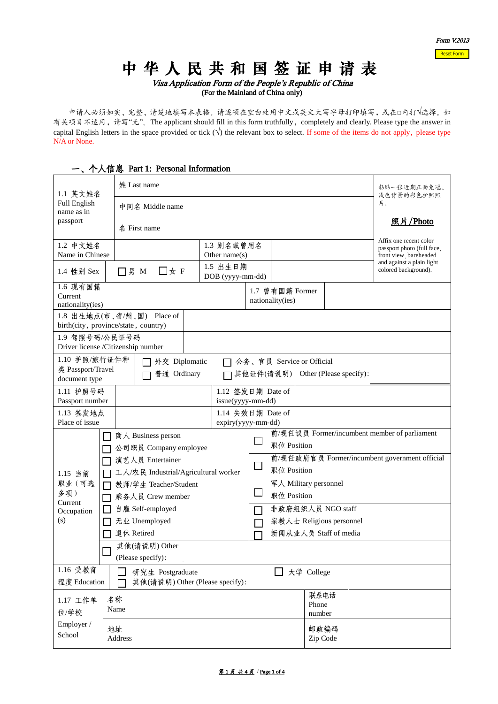# 中 华 人 民 共 和 国 签 证 申 请 表

Visa Application Form of the People's Republic of China (For the Mainland of China only)

 申请人必须如实、完整、清楚地填写本表格。请逐项在空白处用中文或英文大写字母打印填写,或在□内打√选择。如 有关项目不适用,请写"无"。The applicant should fill in this form truthfully, completely and clearly. Please type the answer in capital English letters in the space provided or tick  $(\sqrt{\ })$  the relevant box to select. If some of the items do not apply, please type N/A or None.

#### **姓 Last name** http://www.fastername.com/default.com/default.com/default.com/default.com/default.com/default.com/ 1.1 英文姓名 浅色背景的彩色护照照 Full English 片。 中间名 Middle name name as in passport 照片/Photo 名 First name Affix one recent color 1.2 中文姓名 1.3 别名或曾用名 passport photo (full face , Name in Chinese Other name(s) front view, bareheaded and against a plain light 1.5 出生日期 1.4 性别 Sex | □男 M □女 F colored background). DOB (yyyy-mm-dd) 1.6 现有国籍 1.7 曾有国籍 Former Current nationality(ies) nationality(ies) 1.8 出生地点(市、省/州、国) Place of birth(city, province/state, country) 1.9 驾照号码/公民证号码 Driver license /Citizenship number 1.10 护照/旅行证件种 □ 外交 Diplomatic □ 公务、官员 Service or Official 类 Passport/Travel □ 普通 Ordinary □ 其他证件(请说明) Other (Please specify): document type 1.11 护照号码 1.12 签发日期 Date of Passport number issue(yyyy-mm-dd) 1.13 签发地点 1.14 失效日期 Date of Place of issue expiry(yyyy-mm-dd) 前/现任议员 Former/incumbent member of parliament □ 商人 Business person  $\Box$ 职位 Position □ 公司职员 Company employee 前/现任政府官员 Former/incumbent government official □ 演艺人员 Entertainer  $\Box$ 职位 Position □ 工人/农民 Industrial/Agricultural worker 1.15 当前 职业(可选 军人 Military personnel □ 教师/学生 Teacher/Student  $\Box$  职位 Position 多项) □ 乘务人员 Crew member Current □ 自雇 Self-employed 非政府组织人员 NGO staff П **Occupation** (s) 无业 Unemployed 宗教人士 Religious personnel  $\Box$ □ 退休 Retired 新闻从业人员 Staff of media 其他(请说明) Other П (Please specify): 1.16 受教育 □ 研究生 Postgraduate <br>□ 大学 College 程度 Education □ 其他(请说明) Other (Please specify): 联系电话 1.17 工作单 名称 Phone Name 位/学校 number

### 一、个人信息 Part 1: Personal Information

Employer / School

地址 Address 邮政编码 Zip Code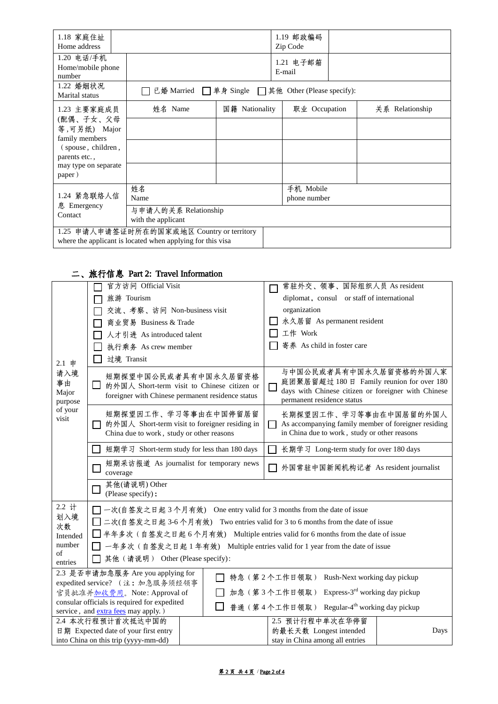| 1.18 家庭住址<br>Home address                                                                                                           |                                                     |                | 1.19 邮政编码<br>Zip Code     |                 |
|-------------------------------------------------------------------------------------------------------------------------------------|-----------------------------------------------------|----------------|---------------------------|-----------------|
| 1.20 电话/手机<br>Home/mobile phone<br>number                                                                                           |                                                     |                | 1.21 电子邮箱<br>E-mail       |                 |
| 1.22 婚姻状况<br>Marital status                                                                                                         | 已婚 Married □ 単身 Single □ 其他 Other (Please specify): |                |                           |                 |
| 1.23 主要家庭成员<br>(配偶、子女、父母<br>等,可另纸) Major<br>family members<br>(spouse, children,<br>parents etc.,<br>may type on separate<br>paper) | 姓名 Name                                             | 国籍 Nationality | 职业 Occupation             | 关系 Relationship |
|                                                                                                                                     |                                                     |                |                           |                 |
|                                                                                                                                     |                                                     |                |                           |                 |
|                                                                                                                                     |                                                     |                |                           |                 |
| 1.24 紧急联络人信<br>息 Emergency<br>Contact                                                                                               | 姓名<br>Name                                          |                | 手机 Mobile<br>phone number |                 |
|                                                                                                                                     | 与申请人的关系 Relationship<br>with the applicant          |                |                           |                 |
| 1.25 申请人申请签证时所在的国家或地区 Country or territory<br>where the applicant is located when applying for this visa                            |                                                     |                |                           |                 |

# 二、旅行信息 Part 2: Travel Information

|                                                                                   | 官方访问 Official Visit                                                                                                           | 常驻外交、领事、国际组织人员 As resident                                                                                                                                         |  |  |  |
|-----------------------------------------------------------------------------------|-------------------------------------------------------------------------------------------------------------------------------|--------------------------------------------------------------------------------------------------------------------------------------------------------------------|--|--|--|
|                                                                                   | 旅游 Tourism                                                                                                                    | diplomat, consul or staff of international                                                                                                                         |  |  |  |
|                                                                                   | 交流、考察、访问 Non-business visit                                                                                                   | organization                                                                                                                                                       |  |  |  |
|                                                                                   | 商业贸易 Business & Trade                                                                                                         | 永久居留 As permanent resident                                                                                                                                         |  |  |  |
| 人才引进 As introduced talent                                                         |                                                                                                                               | 工作 Work                                                                                                                                                            |  |  |  |
|                                                                                   | 执行乘务 As crew member                                                                                                           | 寄养 As child in foster care                                                                                                                                         |  |  |  |
|                                                                                   | 过境 Transit                                                                                                                    |                                                                                                                                                                    |  |  |  |
| 2.1 申<br>请入境<br>事由<br>Major<br>purpose<br>of your<br>visit                        | 短期探望中国公民或者具有中国永久居留资格<br>ப<br>的外国人 Short-term visit to Chinese citizen or<br>foreigner with Chinese permanent residence status | 与中国公民或者具有中国永久居留资格的外国人家<br>庭团聚居留超过 180 日 Family reunion for over 180<br>$\Box$<br>days with Chinese citizen or foreigner with Chinese<br>permanent residence status |  |  |  |
|                                                                                   | 短期探望因工作、学习等事由在中国停留居留<br>的外国人 Short-term visit to foreigner residing in<br>П<br>China due to work, study or other reasons      | 长期探望因工作、学习等事由在中国居留的外国人<br>As accompanying family member of foreigner residing<br>in China due to work, study or other reasons                                      |  |  |  |
|                                                                                   | 短期学习 Short-term study for less than 180 days                                                                                  | 长期学习 Long-term study for over 180 days                                                                                                                             |  |  |  |
|                                                                                   | 短期采访报道 As journalist for temporary news<br>L<br>coverage                                                                      | 外国常驻中国新闻机构记者 As resident journalist                                                                                                                                |  |  |  |
|                                                                                   | 其他(请说明) Other<br>(Please specify):                                                                                            |                                                                                                                                                                    |  |  |  |
| 2.2 计                                                                             | □ 一次(自签发之日起3个月有效) One entry valid for 3 months from the date of issue                                                         |                                                                                                                                                                    |  |  |  |
| 划入境                                                                               | □ 二次(自签发之日起 3-6 个月有效) Two entries valid for 3 to 6 months from the date of issue                                              |                                                                                                                                                                    |  |  |  |
| 次数<br>Intended                                                                    | □半年多次 (自签发之日起 6个月有效) Multiple entries valid for 6 months from the date of issue                                               |                                                                                                                                                                    |  |  |  |
| number                                                                            | 一年多次(自签发之日起1年有效) Multiple entries valid for 1 year from the date of issue                                                     |                                                                                                                                                                    |  |  |  |
| of<br>entries                                                                     | 其他 (请说明) Other (Please specify):                                                                                              |                                                                                                                                                                    |  |  |  |
| 2.3 是否申请加急服务 Are you applying for<br>□ 特急 (第2个工作日领取) Rush-Next working day pickup |                                                                                                                               |                                                                                                                                                                    |  |  |  |
| expedited service? (注: 加急服务须经领事                                                   |                                                                                                                               |                                                                                                                                                                    |  |  |  |
| 加急(第3个工作日领取) Express-3rd working day pickup<br>官员批准并加收费用。Note: Approval of        |                                                                                                                               |                                                                                                                                                                    |  |  |  |
|                                                                                   | consular officials is required for expedited<br>service, and <b>extra fees</b> may apply.)                                    | 普通(第4个工作日领取) Regular-4 <sup>th</sup> working day pickup                                                                                                            |  |  |  |
|                                                                                   | 2.4 本次行程预计首次抵达中国的                                                                                                             | 2.5 预计行程中单次在华停留                                                                                                                                                    |  |  |  |
| 日期 Expected date of your first entry                                              |                                                                                                                               | 的最长天数 Longest intended<br>Days                                                                                                                                     |  |  |  |
| into China on this trip (yyyy-mm-dd)                                              |                                                                                                                               | stay in China among all entries                                                                                                                                    |  |  |  |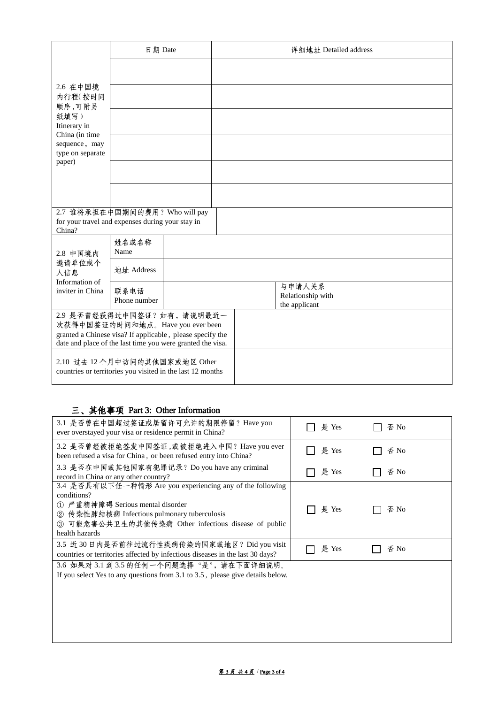|                                                                                                                                                                                            | 日期 Date              |  | 详细地址 Detailed address |                                              |  |
|--------------------------------------------------------------------------------------------------------------------------------------------------------------------------------------------|----------------------|--|-----------------------|----------------------------------------------|--|
| 2.6 在中国境<br>内行程(按时间<br>顺序,可附另<br>纸填写)<br>Itinerary in<br>China (in time<br>sequence, may<br>type on separate<br>paper)                                                                     |                      |  |                       |                                              |  |
|                                                                                                                                                                                            |                      |  |                       |                                              |  |
|                                                                                                                                                                                            |                      |  |                       |                                              |  |
|                                                                                                                                                                                            |                      |  |                       |                                              |  |
|                                                                                                                                                                                            |                      |  |                       |                                              |  |
|                                                                                                                                                                                            |                      |  |                       |                                              |  |
| 2.7 谁将承担在中国期间的费用? Who will pay<br>for your travel and expenses during your stay in<br>China?                                                                                               |                      |  |                       |                                              |  |
| 2.8 中国境内<br>邀请单位或个<br>人信息<br>Information of<br>inviter in China                                                                                                                            | 姓名或名称<br>Name        |  |                       |                                              |  |
|                                                                                                                                                                                            | 地址 Address           |  |                       |                                              |  |
|                                                                                                                                                                                            | 联系电话<br>Phone number |  |                       | 与申请人关系<br>Relationship with<br>the applicant |  |
| 2.9 是否曾经获得过中国签证? 如有, 请说明最近一<br>次获得中国签证的时间和地点。Have you ever been<br>granted a Chinese visa? If applicable, please specify the<br>date and place of the last time you were granted the visa. |                      |  |                       |                                              |  |
| 2.10 过去 12 个月中访问的其他国家或地区 Other<br>countries or territories you visited in the last 12 months                                                                                               |                      |  |                       |                                              |  |

# 三、其他事项 Part 3: Other Information

| 3.1 是否曾在中国超过签证或居留许可允许的期限停留? Have you<br>ever overstayed your visa or residence permit in China?                                                                                                                                      | 是 Yes | 否 No |
|--------------------------------------------------------------------------------------------------------------------------------------------------------------------------------------------------------------------------------------|-------|------|
| 3.2 是否曾经被拒绝签发中国签证 或被拒绝进入中国? Have you ever<br>been refused a visa for China, or been refused entry into China?                                                                                                                        | 是 Yes | 否 No |
| 3.3 是否在中国或其他国家有犯罪记录? Do you have any criminal<br>record in China or any other country?                                                                                                                                               | 是 Yes | 否 No |
| 3.4 是否具有以下任一种情形 Are you experiencing any of the following<br>conditions?<br>① 严重精神障碍 Serious mental disorder<br>② 传染性肺结核病 Infectious pulmonary tuberculosis<br>3 可能危害公共卫生的其他传染病 Other infectious disease of public<br>health hazards | 是 Yes | 否 No |
| 3.5 近 30 日内是否前往过流行性疾病传染的国家或地区? Did you visit<br>countries or territories affected by infectious diseases in the last 30 days?                                                                                                        | 是 Yes | 否 No |
| 3.6 如果对3.1 到3.5 的任何一个问题选择"是",请在下面详细说明。<br>If you select Yes to any questions from 3.1 to 3.5, please give details below.                                                                                                             |       |      |